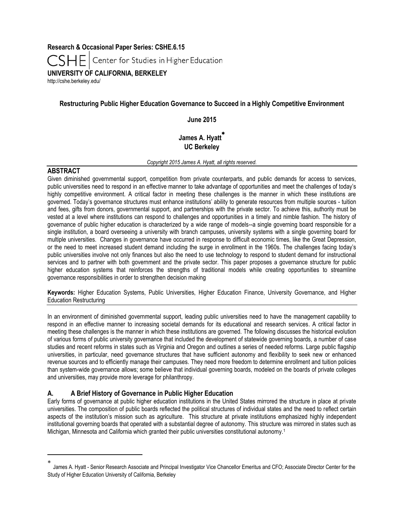**Research & Occasional Paper Series: CSHE.6.15**

Center for Studies in Higher Education

**UNIVERSITY OF CALIFORNIA, BERKELEY**

<http://cshe.berkeley.edu/>

## **Restructuring Public Higher Education Governance to Succeed in a Highly Competitive Environment**

**June 2015**

# **James A. Hyatt UC Berkeley**

*Copyright 2015 James A. Hyatt, all rights reserved.*

## **ABSTRACT**

 $\overline{a}$ 

Given diminished governmental support, competition from private counterparts, and public demands for access to services, public universities need to respond in an effective manner to take advantage of opportunities and meet the challenges of today's highly competitive environment. A critical factor in meeting these challenges is the manner in which these institutions are governed. Today's governance structures must enhance institutions' ability to generate resources from multiple sources - tuition and fees, gifts from donors, governmental support, and partnerships with the private sector. To achieve this, authority must be vested at a level where institutions can respond to challenges and opportunities in a timely and nimble fashion. The history of governance of public higher education is characterized by a wide range of models--a single governing board responsible for a single institution, a board overseeing a university with branch campuses, university systems with a single governing board for multiple universities. Changes in governance have occurred in response to difficult economic times, like the Great Depression, or the need to meet increased student demand including the surge in enrollment in the 1960s. The challenges facing today's public universities involve not only finances but also the need to use technology to respond to student demand for instructional services and to partner with both government and the private sector. This paper proposes a governance structure for public higher education systems that reinforces the strengths of traditional models while creating opportunities to streamline governance responsibilities in order to strengthen decision making

**Keywords:** Higher Education Systems, Public Universities, Higher Education Finance, University Governance, and Higher Education Restructuring

In an environment of diminished governmental support, leading public universities need to have the management capability to respond in an effective manner to increasing societal demands for its educational and research services. A critical factor in meeting these challenges is the manner in which these institutions are governed. The following discusses the historical evolution of various forms of public university governance that included the development of statewide governing boards, a number of case studies and recent reforms in states such as Virginia and Oregon and outlines a series of needed reforms. Large public flagship universities, in particular, need governance structures that have sufficient autonomy and flexibility to seek new or enhanced revenue sources and to efficiently manage their campuses. They need more freedom to determine enrollment and tuition policies than system-wide governance allows; some believe that individual governing boards, modeled on the boards of private colleges and universities, may provide more leverage for philanthropy.

## **A. A Brief History of Governance in Public Higher Education**

Early forms of governance at public higher education institutions in the United States mirrored the structure in place at private universities. The composition of public boards reflected the political structures of individual states and the need to reflect certain aspects of the institution's mission such as agriculture. This structure at private institutions emphasized highly independent institutional governing boards that operated with a substantial degree of autonomy. This structure was mirrored in states such as Michigan, Minnesota and California which granted their public universities constitutional autonomy.<sup>1</sup>

<sup>\*</sup> James A. Hyatt - Senior Research Associate and Principal Investigator Vice Chancellor Emeritus and CFO; Associate Director Center for the Study of Higher Education University of California, Berkeley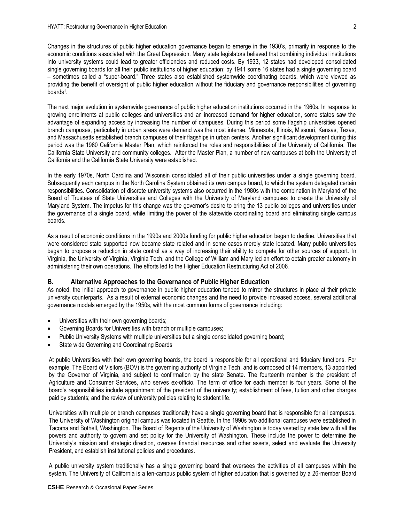Changes in the structures of public higher education governance began to emerge in the 1930's, primarily in response to the economic conditions associated with the Great Depression. Many state legislators believed that combining individual institutions into university systems could lead to greater efficiencies and reduced costs. By 1933, 12 states had developed consolidated single governing boards for all their public institutions of higher education; by 1941 some 16 states had a single governing board – sometimes called a "super-board." Three states also established systemwide coordinating boards, which were viewed as providing the benefit of oversight of public higher education without the fiduciary and governance responsibilities of governing boards<sup>1</sup>.

The next major evolution in systemwide governance of public higher education institutions occurred in the 1960s. In response to growing enrollments at public colleges and universities and an increased demand for higher education, some states saw the advantage of expanding access by increasing the number of campuses. During this period some flagship universities opened branch campuses, particularly in urban areas were demand was the most intense. Minnesota, Illinois, Missouri, Kansas, Texas, and Massachusetts established branch campuses of their flagships in urban centers. Another significant development during this period was the 1960 California Master Plan, which reinforced the roles and responsibilities of the University of California, The California State University and community colleges. After the Master Plan, a number of new campuses at both the University of California and the California State University were established.

In the early 1970s, North Carolina and Wisconsin consolidated all of their public universities under a single governing board. Subsequently each campus in the North Carolina System obtained its own campus board, to which the system delegated certain responsibilities. Consolidation of discrete university systems also occurred in the 1980s with the combination in Maryland of the Board of Trustees of State Universities and Colleges with the University of Maryland campuses to create the University of Maryland System. The impetus for this change was the governor's desire to bring the 13 public colleges and universities under the governance of a single board, while limiting the power of the statewide coordinating board and eliminating single campus boards.

As a result of economic conditions in the 1990s and 2000s funding for public higher education began to decline. Universities that were considered state supported now became state related and in some cases merely state located. Many public universities began to propose a reduction in state control as a way of increasing their ability to compete for other sources of support. In Virginia, the University of Virginia, Virginia Tech, and the College of William and Mary led an effort to obtain greater autonomy in administering their own operations. The efforts led to the Higher Education Restructuring Act of 2006.

### **B. Alternative Approaches to the Governance of Public Higher Education**

As noted, the initial approach to governance in public higher education tended to mirror the structures in place at their private university counterparts. As a result of external economic changes and the need to provide increased access, several additional governance models emerged by the 1950s, with the most common forms of governance including:

- Universities with their own governing boards;
- Governing Boards for Universities with branch or multiple campuses;
- Public University Systems with multiple universities but a single consolidated governing board;
- State wide Governing and Coordinating Boards

At public Universities with their own governing boards, the board is responsible for all operational and fiduciary functions. For example, The Board of Visitors (BOV) is the governing authority of Virginia Tech, and is composed of 14 members, 13 appointed by the Governor of Virginia, and subject to confirmation by the state Senate. The fourteenth member is the president of Agriculture and Consumer Services, who serves ex-officio. The term of office for each member is four years. Some of the board's responsibilities include appointment of the president of the university; establishment of fees, tuition and other charges paid by students; and the review of university policies relating to student life.

Universities with multiple or branch campuses traditionally have a single governing board that is responsible for all campuses. The University of Washington original campus was located in Seattle. In the 1990s two additional campuses were established in Tacoma and Bothell, Washington. The Board of Regents of the University of Washington is today vested by state law with all the powers and authority to govern and set policy for the University of Washington. These include the power to determine the University's mission and strategic direction, oversee financial resources and other assets, select and evaluate the University President, and establish institutional policies and procedures.

A public university system traditionally has a single governing board that oversees the activities of all campuses within the system. The University of California is a ten-campus public system of higher education that is governed by a 26-member Board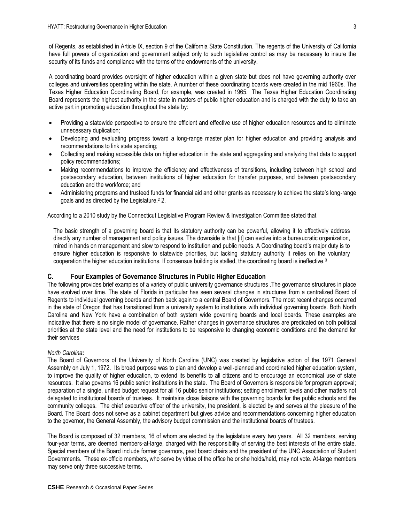of Regents, as established in Article IX, section 9 of the California State Constitution. The regents of the University of California have full powers of organization and government subject only to such legislative control as may be necessary to insure the security of its funds and compliance with the terms of the endowments of the university.

A coordinating board provides oversight of higher education within a given state but does not have governing authority over colleges and universities operating within the state. A number of these coordinating boards were created in the mid 1960s. The Texas Higher Education Coordinating Board, for example, was created in 1965. The Texas Higher Education Coordinating Board represents the highest authority in the state in matters of public higher education and is charged with the duty to take an active part in promoting education throughout the state by:

- Providing a statewide perspective to ensure the efficient and effective use of higher education resources and to eliminate unnecessary duplication;
- Developing and evaluating progress toward a long-range master plan for higher education and providing analysis and recommendations to link state spending;
- Collecting and making accessible data on higher education in the state and aggregating and analyzing that data to support policy recommendations;
- Making recommendations to improve the efficiency and effectiveness of transitions, including between high school and postsecondary education, between institutions of higher education for transfer purposes, and between postsecondary education and the workforce; and
- Administering programs and trusteed funds for financial aid and other grants as necessary to achieve the state's long-range goals and as directed by the Legislature.<sup>2</sup> 2.

According to a 2010 study by the Connecticut Legislative Program Review & Investigation Committee stated that

The basic strength of a governing board is that its statutory authority can be powerful, allowing it to effectively address directly any number of management and policy issues. The downside is that [it] can evolve into a bureaucratic organization, mired in hands on management and slow to respond to institution and public needs. A Coordinating board's major duty is to ensure higher education is responsive to statewide priorities, but lacking statutory authority it relies on the voluntary cooperation the higher education institutions. If consensus building is stalled, the coordinating board is ineffective.<sup>3</sup>

## **C. Four Examples of Governance Structures in Public Higher Education**

The following provides brief examples of a variety of public university governance structures .The governance structures in place have evolved over time. The state of Florida in particular has seen several changes in structures from a centralized Board of Regents to individual governing boards and then back again to a central Board of Governors. The most recent changes occurred in the state of Oregon that has transitioned from a university system to institutions with individual governing boards. Both North Carolina and New York have a combination of both system wide governing boards and local boards. These examples are indicative that there is no single model of governance. Rather changes in governance structures are predicated on both political priorities at the state level and the need for institutions to be responsive to changing economic conditions and the demand for their services

## *North Carolina***:**

The Board of Governors of the University of North Carolina (UNC) was created by legislative action of the 1971 General Assembly on July 1, 1972. Its broad purpose was to plan and develop a well-planned and coordinated higher education system, to improve the quality of higher education, to extend its benefits to all citizens and to encourage an economical use of state resources. It also governs 16 public senior institutions in the state. The Board of Governors is responsible for program approval; preparation of a single, unified budget request for all 16 public senior institutions; setting enrollment levels and other matters not delegated to institutional boards of trustees. It maintains close liaisons with the governing boards for the public schools and the community colleges. The chief executive officer of the university, the president, is elected by and serves at the pleasure of the Board. The Board does not serve as a cabinet department but gives advice and recommendations concerning higher education to the governor, the General Assembly, the advisory budget commission and the institutional boards of trustees.

The Board is composed of 32 members, 16 of whom are elected by the legislature every two years. All 32 members, serving four-year terms, are deemed members-at-large, charged with the responsibility of serving the best interests of the entire state. Special members of the Board include former governors, past board chairs and the president of the UNC Association of Student Governments. These ex-officio members, who serve by virtue of the office he or she holds/held, may not vote. At-large members may serve only three successive terms.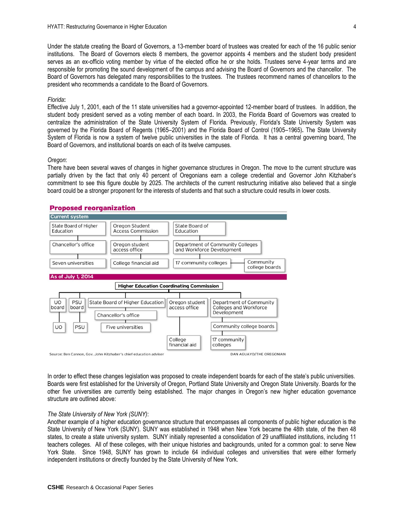Under the statute creating the Board of Governors, a 13-member board of trustees was created for each of the 16 public senior institutions. The Board of Governors elects 8 members, the governor appoints 4 members and the student body president serves as an ex-officio voting member by virtue of the elected office he or she holds. Trustees serve 4-year terms and are responsible for promoting the sound development of the campus and advising the Board of Governors and the chancellor. The Board of Governors has delegated many responsibilities to the trustees. The trustees recommend names of chancellors to the president who recommends a candidate to the Board of Governors.

#### *Florida***:**

Effective July 1, 2001, each of the 11 state universities had a governor-appointed 12-member board of trustees. In addition, the student body president served as a voting member of each board**.** In 2003, the Florida Board of Governors was created to centralize the administration of the State University System of Florida. Previously, Florida's State University System was governed by the Florida Board of Regents (1965–2001) and the Florida Board of Control (1905–1965)**.** The State University System of Florida is now a system of twelve public universities in the state of Florida. It has a central governing board, The Board of Governors, and institutional boards on each of its twelve campuses.

#### *Oregon*:

There have been several waves of changes in higher governance structures in Oregon. The move to the current structure was partially driven by the fact that only 40 percent of Oregonians earn a college credential and Governor John Kitzhaber's commitment to see this figure double by 2025. The architects of the current restructuring initiative also believed that a single board could be a stronger proponent for the interests of students and that such a structure could results in lower costs.

## **Proposed reorganization**



In order to effect these changes legislation was proposed to create independent boards for each of the state's public universities. Boards were first established for the University of Oregon, Portland State University and Oregon State University. Boards for the other five universities are currently being established. The major changes in Oregon's new higher education governance structure are outlined above:

### *The State University of New York (SUNY)*:

Another example of a higher education governance structure that encompasses all components of public higher education is the State University of New York (SUNY). SUNY was established in 1948 when New York became the 48th state, of the then 48 states, to create a state university system. SUNY initially represented a consolidation of 29 unaffiliated institutions, including 11 teachers colleges. All of these colleges, with their unique histories and backgrounds, united for a common goal: to serve New York State. Since 1948, SUNY has grown to include 64 individual colleges and universities that were either formerly independent institutions or directly founded by the State University of New York.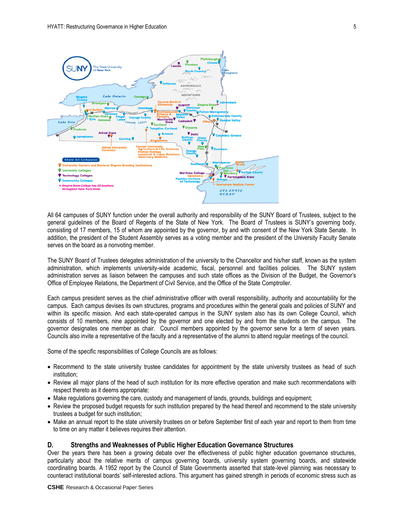

All 64 campuses of SUNY function under the overall authority and responsibility of the SUNY Board of Trustees, subject to the general guidelines of the Board of Regents of the State of New York. The Board of Trustees is SUNY's governing body, consisting of 17 members, 15 of whom are appointed by the governor, by and with consent of the New York State Senate. In addition, the president of the Student Assembly serves as a voting member and the president of the University Faculty Senate serves on the board as a nonvoting member.

The SUNY Board of Trustees delegates administration of the university to the Chancellor and his/her staff, known as the system administration, which implements university-wide academic, fiscal, personnel and facilities policies. The SUNY system administration serves as liaison between the campuses and such state offices as the Division of the Budget, the Governor's Office of Employee Relations, the Department of Civil Service, and the Office of the State Comptroller.

Each campus president serves as the chief administrative officer with overall responsibility, authority and accountability for the campus. Each campus devises its own structures, programs and procedures within the general goals and policies of SUNY and within its specific mission. And each state-operated campus in the SUNY system also has its own College Council, which consists of 10 members, nine appointed by the governor and one elected by and from the students on the campus. The governor designates one member as chair. Council members appointed by the governor serve for a term of seven years. Councils also invite a representative of the faculty and a representative of the alumni to attend regular meetings of the council.

Some of the specific responsibilities of College Councils are as follows:

- Recommend to the state university trustee candidates for appointment by the state university trustees as head of such institution;
- Review all major plans of the head of such institution for its more effective operation and make such recommendations with respect thereto as it deems appropriate;
- Make regulations governing the care, custody and management of lands, grounds, buildings and equipment;
- Review the proposed budget requests for such institution prepared by the head thereof and recommend to the state university trustees a budget for such institution;
- Make an annual report to the state university trustees on or before September first of each year and report to them from time to time on any matter it believes requires their attention.

#### **D. Strengths and Weaknesses of Public Higher Education Governance Structures**

Over the years there has been a growing debate over the effectiveness of public higher education governance structures, particularly about the relative merits of campus governing boards, university system governing boards, and statewide coordinating boards. A 1952 report by the Council of State Governments asserted that state-level planning was necessary to counteract institutional boards' self-interested actions. This argument has gained strength in periods of economic stress such as

**CSHE** Research & Occasional Paper Series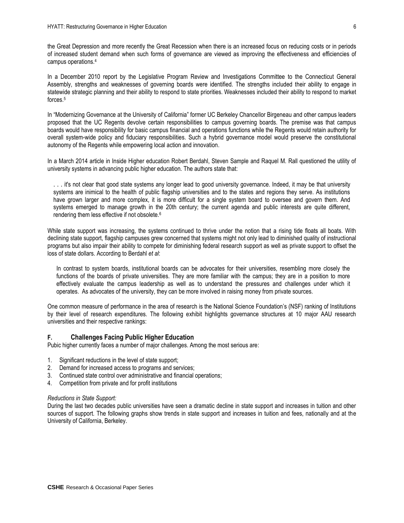the Great Depression and more recently the Great Recession when there is an increased focus on reducing costs or in periods of increased student demand when such forms of governance are viewed as improving the effectiveness and efficiencies of campus operations.<sup>4</sup>

In a December 2010 report by the Legislative Program Review and Investigations Committee to the Connecticut General Assembly, strengths and weaknesses of governing boards were identified. The strengths included their ability to engage in statewide strategic planning and their ability to respond to state priorities. Weaknesses included their ability to respond to market forces.<sup>5</sup>

In "Modernizing Governance at the University of California" former UC Berkeley Chancellor Birgeneau and other campus leaders proposed that the UC Regents devolve certain responsibilities to campus governing boards. The premise was that campus boards would have responsibility for basic campus financial and operations functions while the Regents would retain authority for overall system-wide policy and fiduciary responsibilities. Such a hybrid governance model would preserve the constitutional autonomy of the Regents while empowering local action and innovation.

In a March 2014 article in Inside Higher education Robert Berdahl, Steven Sample and Raquel M. Rall questioned the utility of university systems in advancing public higher education. The authors state that:

... it's not clear that good state systems any longer lead to good university governance. Indeed, it may be that university systems are inimical to the health of public flagship universities and to the states and regions they serve. As institutions have grown larger and more complex, it is more difficult for a single system board to oversee and govern them. And systems emerged to manage growth in the 20th century; the current agenda and public interests are quite different, rendering them less effective if not obsolete.<sup>6</sup>

While state support was increasing, the systems continued to thrive under the notion that a rising tide floats all boats. With declining state support, flagship campuses grew concerned that systems might not only lead to diminished quality of instructional programs but also impair their ability to compete for diminishing federal research support as well as private support to offset the loss of state dollars. According to Berdahl *et al*:

In contrast to system boards, institutional boards can be advocates for their universities, resembling more closely the functions of the boards of private universities. They are more familiar with the campus; they are in a position to more effectively evaluate the campus leadership as well as to understand the pressures and challenges under which it operates. As advocates of the university, they can be more involved in raising money from private sources.

One common measure of performance in the area of research is the National Science Foundation's (NSF) ranking of Institutions by their level of research expenditures. The following exhibit highlights governance structures at 10 major AAU research universities and their respective rankings:

## **F. Challenges Facing Public Higher Education**

Pubic higher currently faces a number of major challenges. Among the most serious are:

- 1. Significant reductions in the level of state support;
- 2. Demand for increased access to programs and services;
- 3. Continued state control over administrative and financial operations;
- 4. Competition from private and for profit institutions

#### *Reductions in State Support:*

During the last two decades public universities have seen a dramatic decline in state support and increases in tuition and other sources of support. The following graphs show trends in state support and increases in tuition and fees, nationally and at the University of California, Berkeley.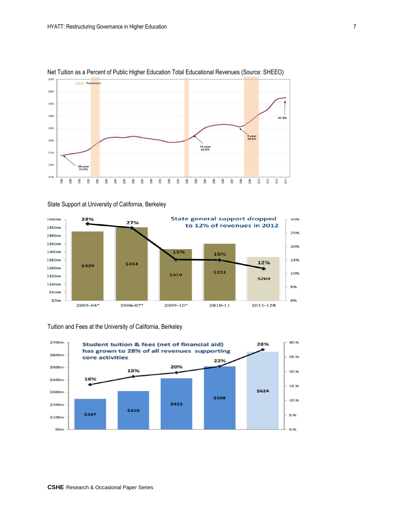

## Net Tuition as a Percent of Public Higher Education Total Educational Revenues (Source: SHEEO)



State Support at University of California, Berkeley



## Tuition and Fees at the University of California, Berkeley



30%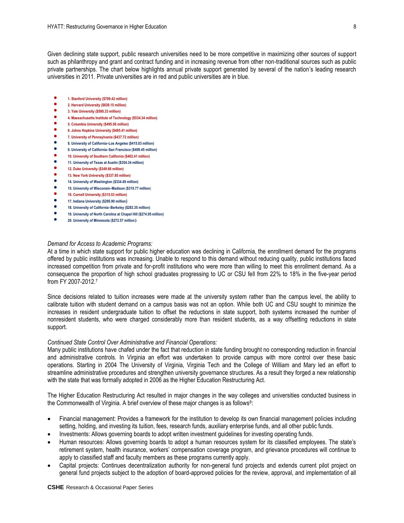Given declining state support, public research universities need to be more competitive in maximizing other sources of support such as philanthropy and grant and contract funding and in increasing revenue from other non-traditional sources such as public private partnerships. The chart below highlights annual private support generated by several of the nation's leading research universities in 2011. Private universities are in red and public universities are in blue.

- <p>●</p>\n<p>1. Stanford University (\$709.42 million)</p>\n<p>9. Harvard University (\$639.45 million)</p>
- **2. Harvard University (\$639.15 million)**
- **3. Yale University (\$580.33 million)**
- **4. Massachusetts Institute of Technology (\$534.34 million)**
- <p>●</p>\n<p>5. Columbia University (\$495.56 million)</p>\n<p>6. John: Hophine University (\$485.41 million)</p>
- **6. Johns Hopkins University (\$485.41 million)**
- **7. University of Pennsylvania (\$437.72 million)**
- **8. University of California–Los Angeles (\$415.03 million)**
- **9. University of California–San Francisco (\$409.45 million)**
- **10. University of Southern California (\$402.41 million)**
- **11. University of Texas at Austin (\$354.34 million) 12. Duke University (\$349.66 million)**
- 
- **13. New York University (\$337.85 million)**<br>● 14. University of Washington (\$334.49 mi **14. University of Washington (\$334.49 million)**
- **15. University of Wisconsin–Madison (\$315.77 million**)
- 
- 16. Cornell University (\$315.53 million)<br>● 17. Indiana University (\$305.90 million) **17. Indiana University (\$295.90 million)**
- **18. University of California–Berkeley (\$283.35 million)**
- **19. University of North Carolina at Chapel Hill (\$274.95 million)**
- **20. University of Minnesota (\$272.57 million)**

#### *Demand for Access to Academic Programs:*

At a time in which state support for public higher education was declining in California, the enrollment demand for the programs offered by public institutions was increasing. Unable to respond to this demand without reducing quality, public institutions faced increased competition from private and for-profit institutions who were more than willing to meet this enrollment demand. As a consequence the proportion of high school graduates progressing to UC or CSU fell from 22% to 18% in the five-year period from FY 2007-2012. 7

Since decisions related to tuition increases were made at the university system rather than the campus level, the ability to calibrate tuition with student demand on a campus basis was not an option. While both UC and CSU sought to minimize the increases in resident undergraduate tuition to offset the reductions in state support, both systems increased the number of nonresident students, who were charged considerably more than resident students, as a way offsetting reductions in state support.

### *Continued State Control Over Administrative and Financial Operations:*

Many public institutions have chafed under the fact that reduction in state funding brought no corresponding reduction in financial and administrative controls. In Virginia an effort was undertaken to provide campus with more control over these basic operations. Starting in 2004 The University of Virginia, Virginia Tech and the College of William and Mary led an effort to streamline administrative procedures and strengthen university governance structures. As a result they forged a new relationship with the state that was formally adopted in 2006 as the Higher Education Restructuring Act.

The Higher Education Restructuring Act resulted in major changes in the way colleges and universities conducted business in the Commonwealth of Virginia. A brief overview of these major changes is as follows<sup>8</sup>:

- Financial management: Provides a framework for the institution to develop its own financial management policies including setting, holding, and investing its tuition, fees, research funds, auxiliary enterprise funds, and all other public funds.
- Investments: Allows governing boards to adopt written investment guidelines for investing operating funds.
- Human resources: Allows governing boards to adopt a human resources system for its classified employees. The state's retirement system, health insurance, workers' compensation coverage program, and grievance procedures will continue to apply to classified staff and faculty members as these programs currently apply.
- Capital projects: Continues decentralization authority for non-general fund projects and extends current pilot project on general fund projects subject to the adoption of board-approved policies for the review, approval, and implementation of all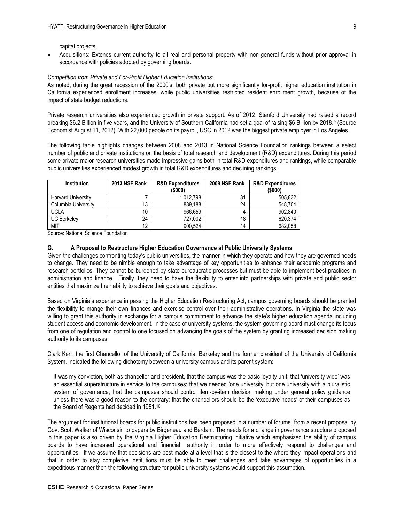capital projects.

 Acquisitions: Extends current authority to all real and personal property with non-general funds without prior approval in accordance with policies adopted by governing boards.

#### *Competition from Private and For-Profit Higher Education Institutions:*

As noted, during the great recession of the 2000's, both private but more significantly for-profit higher education institution in California experienced enrollment increases, while public universities restricted resident enrollment growth, because of the impact of state budget reductions.

Private research universities also experienced growth in private support. As of 2012, Stanford University had raised a record breaking \$6.2 Billion in five years, and the University of Southern California had set a goal of raising \$6 Billion by 2018.<sup>9</sup> (Source Economist August 11, 2012). With 22,000 people on its payroll, USC in 2012 was the biggest private employer in Los Angeles.

The following table highlights changes between 2008 and 2013 in National Science Foundation rankings between a select number of public and private institutions on the basis of total research and development (R&D) expenditures. During this period some private major research universities made impressive gains both in total R&D expenditures and rankings, while comparable public universities experienced modest growth in total R&D expenditures and declining rankings.

| <b>Institution</b>        | 2013 NSF Rank | <b>R&amp;D Expenditures</b> | 2008 NSF Rank | <b>R&amp;D Expenditures</b> |
|---------------------------|---------------|-----------------------------|---------------|-----------------------------|
|                           |               | (\$000)                     |               | (5000)                      |
| <b>Harvard University</b> |               | 1.012.798                   | 31            | 505.832                     |
| Columbia University       | 13            | 889.188                     | 24            | 548.704                     |
| <b>UCLA</b>               | 10            | 966.659                     | 4             | 902,840                     |
| <b>UC Berkelev</b>        | 24            | 727.002                     | 18            | 620.374                     |
| MIT                       | 12            | 900.524                     | 14            | 682,058                     |

Source: National Science Foundation

### **G. A Proposal to Restructure Higher Education Governance at Public University Systems**

Given the challenges confronting today's public universities, the manner in which they operate and how they are governed needs to change. They need to be nimble enough to take advantage of key opportunities to enhance their academic programs and research portfolios. They cannot be burdened by state bureaucratic processes but must be able to implement best practices in administration and finance. Finally, they need to have the flexibility to enter into partnerships with private and public sector entities that maximize their ability to achieve their goals and objectives.

Based on Virginia's experience in passing the Higher Education Restructuring Act, campus governing boards should be granted the flexibility to mange their own finances and exercise control over their administrative operations. In Virginia the state was willing to grant this authority in exchange for a campus commitment to advance the state's higher education agenda including student access and economic development. In the case of university systems, the system governing board must change its focus from one of regulation and control to one focused on advancing the goals of the system by granting increased decision making authority to its campuses.

Clark Kerr, the first Chancellor of the University of California, Berkeley and the former president of the University of California System, indicated the following dichotomy between a university campus and its parent system:

It was my conviction, both as chancellor and president, that the campus was the basic loyalty unit; that 'university wide' was an essential superstructure in service to the campuses; that we needed 'one university' but one university with a pluralistic system of governance; that the campuses should control item-by-item decision making under general policy guidance unless there was a good reason to the contrary; that the chancellors should be the 'executive heads' of their campuses as the Board of Regents had decided in 1951.<sup>10</sup>

The argument for institutional boards for public institutions has been proposed in a number of forums, from a recent proposal by Gov. Scott Walker of Wisconsin to papers by Birgeneau and Berdahl. The needs for a change in governance structure proposed in this paper is also driven by the Virginia Higher Education Restructuring initiative which emphasized the ability of campus boards to have increased operational and financial authority in order to more effectively respond to challenges and opportunities. If we assume that decisions are best made at a level that is the closest to the where they impact operations and that in order to stay completive institutions must be able to meet challenges and take advantages of opportunities in a expeditious manner then the following structure for public university systems would support this assumption.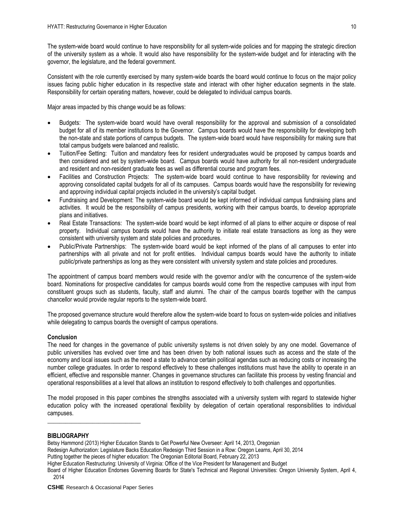The system-wide board would continue to have responsibility for all system-wide policies and for mapping the strategic direction of the university system as a whole. It would also have responsibility for the system-wide budget and for interacting with the governor, the legislature, and the federal government.

Consistent with the role currently exercised by many system-wide boards the board would continue to focus on the major policy issues facing public higher education in its respective state and interact with other higher education segments in the state. Responsibility for certain operating matters, however, could be delegated to individual campus boards.

Major areas impacted by this change would be as follows:

- Budgets: The system-wide board would have overall responsibility for the approval and submission of a consolidated budget for all of its member institutions to the Governor. Campus boards would have the responsibility for developing both the non-state and state portions of campus budgets. The system-wide board would have responsibility for making sure that total campus budgets were balanced and realistic.
- Tuition/Fee Setting: Tuition and mandatory fees for resident undergraduates would be proposed by campus boards and then considered and set by system-wide board. Campus boards would have authority for all non-resident undergraduate and resident and non-resident graduate fees as well as differential course and program fees.
- Facilities and Construction Projects: The system-wide board would continue to have responsibility for reviewing and approving consolidated capital budgets for all of its campuses. Campus boards would have the responsibility for reviewing and approving individual capital projects included in the university's capital budget.
- Fundraising and Development: The system-wide board would be kept informed of individual campus fundraising plans and activities. It would be the responsibility of campus presidents, working with their campus boards, to develop appropriate plans and initiatives.
- Real Estate Transactions: The system-wide board would be kept informed of all plans to either acquire or dispose of real property. Individual campus boards would have the authority to initiate real estate transactions as long as they were consistent with university system and state policies and procedures.
- Public/Private Partnerships: The system-wide board would be kept informed of the plans of all campuses to enter into partnerships with all private and not for profit entities. Individual campus boards would have the authority to initiate public/private partnerships as long as they were consistent with university system and state policies and procedures.

The appointment of campus board members would reside with the governor and/or with the concurrence of the system-wide board. Nominations for prospective candidates for campus boards would come from the respective campuses with input from constituent groups such as students, faculty, staff and alumni. The chair of the campus boards together with the campus chancellor would provide regular reports to the system-wide board.

The proposed governance structure would therefore allow the system-wide board to focus on system-wide policies and initiatives while delegating to campus boards the oversight of campus operations.

## **Conclusion**

The need for changes in the governance of public university systems is not driven solely by any one model. Governance of public universities has evolved over time and has been driven by both national issues such as access and the state of the economy and local issues such as the need a state to advance certain political agendas such as reducing costs or increasing the number college graduates. In order to respond effectively to these challenges institutions must have the ability to operate in an efficient, effective and responsible manner. Changes in governance structures can facilitate this process by vesting financial and operational responsibilities at a level that allows an institution to respond effectively to both challenges and opportunities.

The model proposed in this paper combines the strengths associated with a university system with regard to statewide higher education policy with the increased operational flexibility by delegation of certain operational responsibilities to individual campuses.

### **BIBLIOGRAPHY**

Betsy Hammond (2013) Higher Education Stands to Get Powerful New Overseer: April 14, 2013, Oregonian

Redesign Authorization: Legislature Backs Education Redesign Third Session in a Row: Oregon Learns, April 30, 2014

Putting together the pieces of higher education: The Oregonian Editorial Board, February 22, 2013

**CSHE** Research & Occasional Paper Series

\_\_\_\_\_\_\_\_\_\_\_\_\_\_\_\_\_\_\_\_\_\_\_\_\_\_\_\_\_\_\_

Higher Education Restructuring: University of Virginia: Office of the Vice President for Management and Budget

Board of Higher Education Endorses Governing Boards for State's Technical and Regional Universities: Oregon University System, April 4, 2014